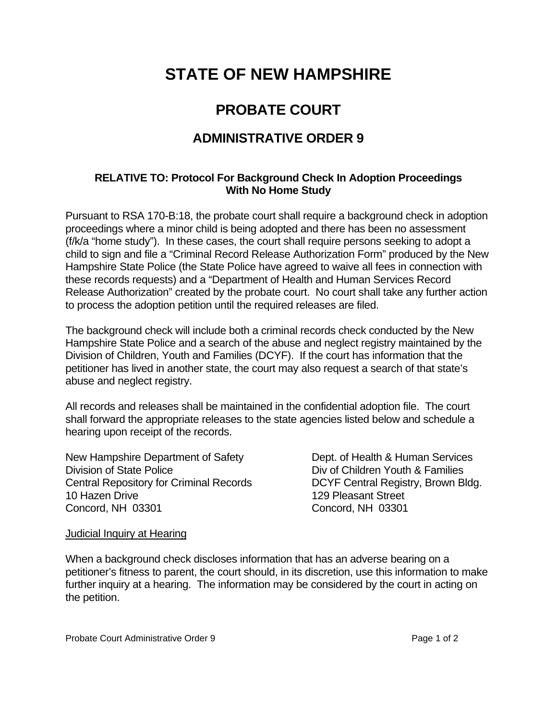# **STATE OF NEW HAMPSHIRE**

## **PROBATE COURT**

### **ADMINISTRATIVE ORDER 9**

### **RELATIVE TO: Protocol For Background Check In Adoption Proceedings With No Home Study**

Pursuant to RSA 170-B:18, the probate court shall require a background check in adoption proceedings where a minor child is being adopted and there has been no assessment (f/k/a "home study"). In these cases, the court shall require persons seeking to adopt a child to sign and file a "Criminal Record Release Authorization Form" produced by the New Hampshire State Police (the State Police have agreed to waive all fees in connection with these records requests) and a "Department of Health and Human Services Record Release Authorization" created by the probate court. No court shall take any further action to process the adoption petition until the required releases are filed.

The background check will include both a criminal records check conducted by the New Hampshire State Police and a search of the abuse and neglect registry maintained by the Division of Children, Youth and Families (DCYF). If the court has information that the petitioner has lived in another state, the court may also request a search of that state's abuse and neglect registry.

All records and releases shall be maintained in the confidential adoption file. The court shall forward the appropriate releases to the state agencies listed below and schedule a hearing upon receipt of the records.

New Hampshire Department of Safety **Dept.** Dept. of Health & Human Services Division of State Police **Division of State Police Division of State Police Division Children Youth & Families** Central Repository for Criminal Records DCYF Central Registry, Brown Bldg. 10 Hazen Drive 129 Pleasant Street Concord, NH 03301 Concord, NH 03301

#### Judicial Inquiry at Hearing

When a background check discloses information that has an adverse bearing on a petitioner's fitness to parent, the court should, in its discretion, use this information to make further inquiry at a hearing. The information may be considered by the court in acting on the petition.